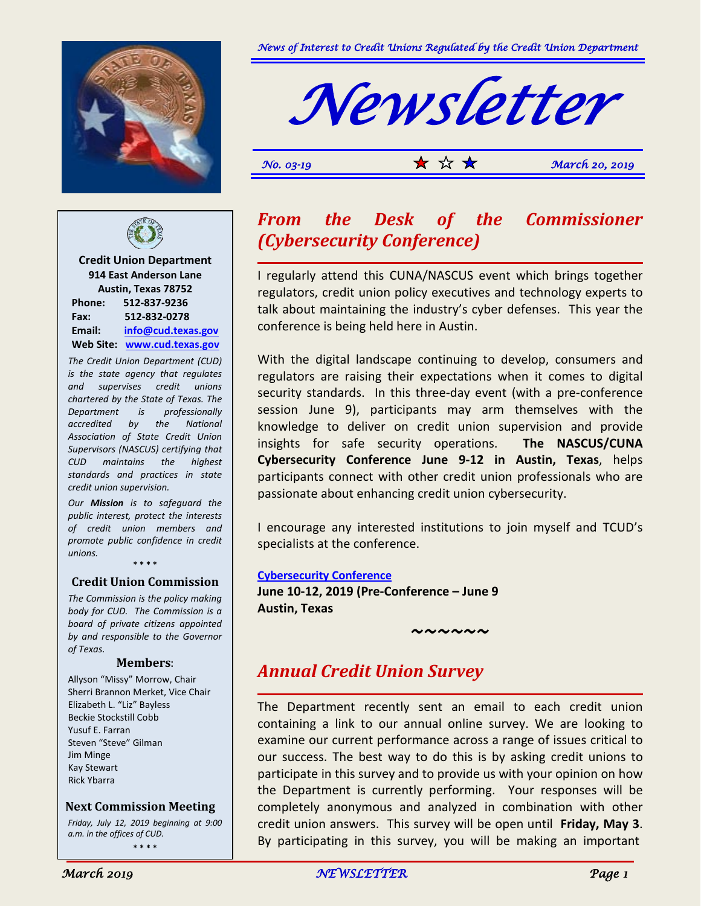



*No.* 03-19 **1**  $\star$   $\star$   $\star$   $\star$  *March* **20, 2019** 



**Credit Union Department 914 East Anderson Lane Austin, Texas 78752 Phone: 512-837-9236 Fax: 512-832-0278 Email: [info@cud.texas.gov](mailto:info@cud.texas.gov) Web Site: [www.cud.texas.gov](http://www.cud.texas.gov/)**

*The Credit Union Department (CUD) is the state agency that regulates and supervises credit unions chartered by the State of Texas. The Department is professionally accredited by the National Association of State Credit Union Supervisors (NASCUS) certifying that CUD maintains the highest standards and practices in state credit union supervision.*

*Our Mission is to safeguard the public interest, protect the interests of credit union members and promote public confidence in credit unions.* **\* \* \* \***

**Credit Union Commission**

*The Commission is the policy making body for CUD. The Commission is a board of private citizens appointed by and responsible to the Governor of Texas.*

#### **Members**:

Allyson "Missy" Morrow, Chair Sherri Brannon Merket, Vice Chair Elizabeth L. "Liz" Bayless Beckie Stockstill Cobb Yusuf E. Farran Steven "Steve" Gilman Jim Minge Kay Stewart Rick Ybarra

 **Next Commission Meeting**

*Friday, July 12, 2019 beginning at 9:00 a.m. in the offices of CUD.* **\* \* \* \***

### *From the Desk of the Commissioner (Cybersecurity Conference)*

I regularly attend this CUNA/NASCUS event which brings together regulators, credit union policy executives and technology experts to talk about maintaining the industry's cyber defenses. This year the conference is being held here in Austin.

With the digital landscape continuing to develop, consumers and regulators are raising their expectations when it comes to digital security standards. In this three-day event (with a pre-conference session June 9), participants may arm themselves with the knowledge to deliver on credit union supervision and provide insights for safe security operations. **The NASCUS/CUNA Cybersecurity Conference June 9-12 in Austin, Texas**, helps participants connect with other credit union professionals who are passionate about enhancing credit union cybersecurity.

I encourage any interested institutions to join myself and TCUD's specialists at the conference.

**[Cybersecurity Conference](https://www.cuna.org/cyber/)**

**June 10-12, 2019 (Pre-Conference – June 9 Austin, Texas**

*~~~~~~*

### *Annual Credit Union Survey*

The Department recently sent an email to each credit union containing a link to our annual online survey. We are looking to examine our current performance across a range of issues critical to our success. The best way to do this is by asking credit unions to participate in this survey and to provide us with your opinion on how the Department is currently performing. Your responses will be completely anonymous and analyzed in combination with other credit union answers. This survey will be open until **Friday, May 3**. By participating in this survey, you will be making an important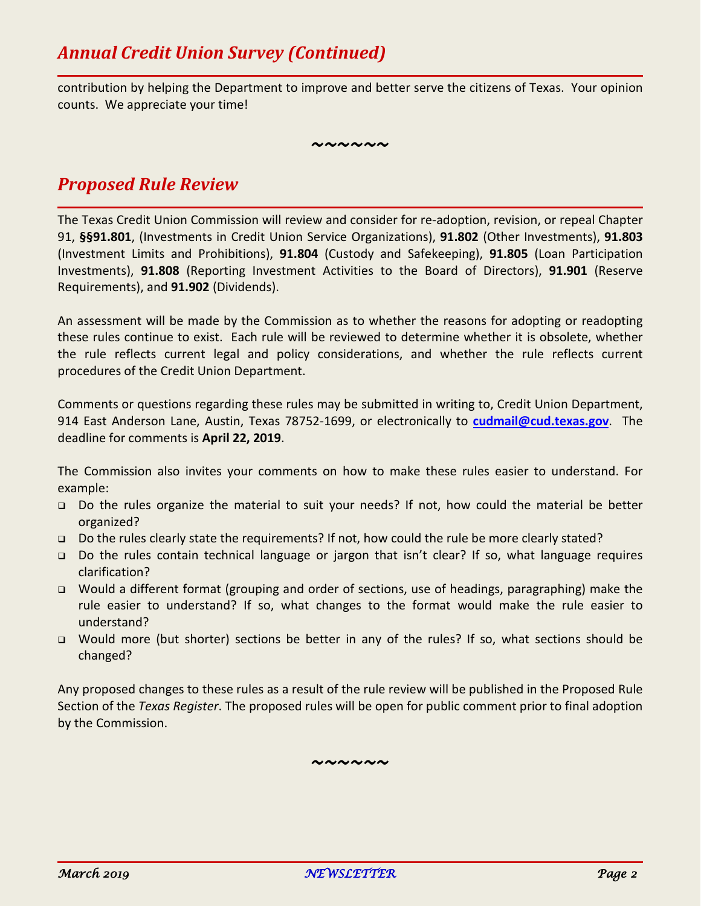contribution by helping the Department to improve and better serve the citizens of Texas. Your opinion counts. We appreciate your time!

*~~~~~~*

## *Proposed Rule Review*

The Texas Credit Union Commission will review and consider for re-adoption, revision, or repeal Chapter 91, **§§91.801**, (Investments in Credit Union Service Organizations), **91.802** (Other Investments), **91.803** (Investment Limits and Prohibitions), **91.804** (Custody and Safekeeping), **91.805** (Loan Participation Investments), **91.808** (Reporting Investment Activities to the Board of Directors), **91.901** (Reserve Requirements), and **91.902** (Dividends).

An assessment will be made by the Commission as to whether the reasons for adopting or readopting these rules continue to exist. Each rule will be reviewed to determine whether it is obsolete, whether the rule reflects current legal and policy considerations, and whether the rule reflects current procedures of the Credit Union Department.

Comments or questions regarding these rules may be submitted in writing to, Credit Union Department, 914 East Anderson Lane, Austin, Texas 78752-1699, or electronically to **[cudmail@cud.texas.gov](mailto:cudmail@cud.texas.gov)**. The deadline for comments is **April 22, 2019**.

The Commission also invites your comments on how to make these rules easier to understand. For example:

- Do the rules organize the material to suit your needs? If not, how could the material be better organized?
- Do the rules clearly state the requirements? If not, how could the rule be more clearly stated?
- Do the rules contain technical language or jargon that isn't clear? If so, what language requires clarification?
- Would a different format (grouping and order of sections, use of headings, paragraphing) make the rule easier to understand? If so, what changes to the format would make the rule easier to understand?
- Would more (but shorter) sections be better in any of the rules? If so, what sections should be changed?

Any proposed changes to these rules as a result of the rule review will be published in the Proposed Rule Section of the *Texas Register*. The proposed rules will be open for public comment prior to final adoption by the Commission.

*~~~~~~*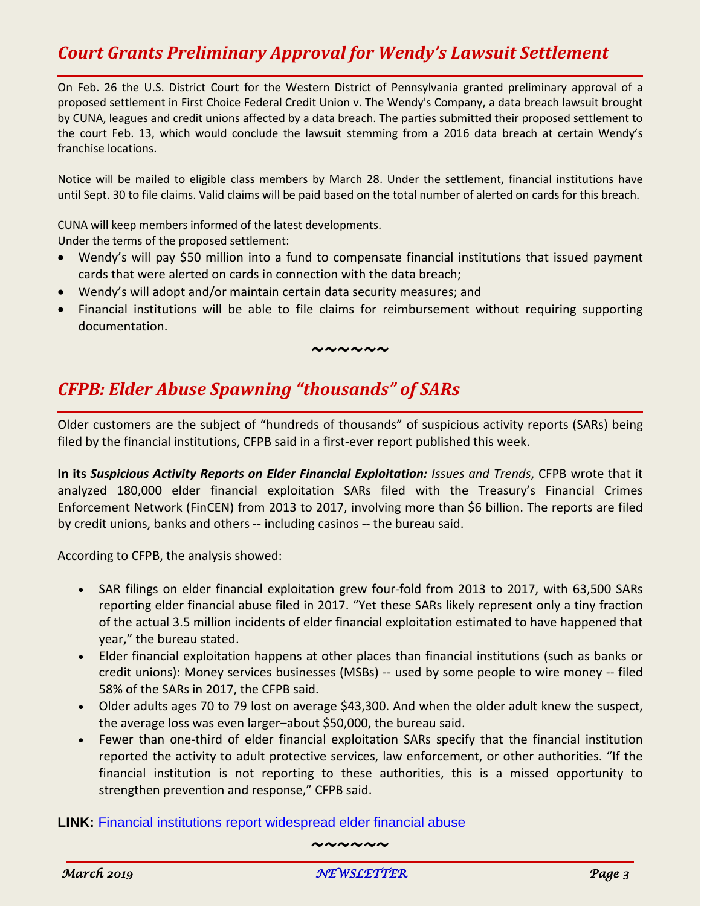# *Court Grants Preliminary Approval for Wendy's Lawsuit Settlement*

On Feb. 26 the U.S. District Court for the Western District of Pennsylvania granted preliminary approval of a proposed settlement in First Choice Federal Credit Union v. The Wendy's Company, a data breach lawsuit brought by CUNA, leagues and credit unions affected by a data breach. The parties submitted their proposed settlement to the court Feb. 13, which would conclude the lawsuit stemming from a 2016 data breach at certain Wendy's franchise locations.

Notice will be mailed to eligible class members by March 28. Under the settlement, financial institutions have until Sept. 30 to file claims. Valid claims will be paid based on the total number of alerted on cards for this breach.

CUNA will keep members informed of the latest developments. Under the terms of the proposed settlement:

- Wendy's will pay \$50 million into a fund to compensate financial institutions that issued payment cards that were alerted on cards in connection with the data breach;
- Wendy's will adopt and/or maintain certain data security measures; and
- Financial institutions will be able to file claims for reimbursement without requiring supporting documentation.

#### *~~~~~~*

#### *CFPB: Elder Abuse Spawning "thousands" of SARs*

Older customers are the subject of "hundreds of thousands" of suspicious activity reports (SARs) being filed by the financial institutions, CFPB said in a first-ever report published this week.

**In its** *Suspicious Activity Reports on Elder Financial Exploitation: Issues and Trends*, CFPB wrote that it analyzed 180,000 elder financial exploitation SARs filed with the Treasury's Financial Crimes Enforcement Network (FinCEN) from 2013 to 2017, involving more than \$6 billion. The reports are filed by credit unions, banks and others -- including casinos -- the bureau said.

According to CFPB, the analysis showed:

- SAR filings on elder financial exploitation grew four-fold from 2013 to 2017, with 63,500 SARs reporting elder financial abuse filed in 2017. "Yet these SARs likely represent only a tiny fraction of the actual 3.5 million incidents of elder financial exploitation estimated to have happened that year," the bureau stated.
- Elder financial exploitation happens at other places than financial institutions (such as banks or credit unions): Money services businesses (MSBs) -- used by some people to wire money -- filed 58% of the SARs in 2017, the CFPB said.
- Older adults ages 70 to 79 lost on average \$43,300. And when the older adult knew the suspect, the average loss was even larger–about \$50,000, the bureau said.
- Fewer than one-third of elder financial exploitation SARs specify that the financial institution reported the activity to adult protective services, law enforcement, or other authorities. "If the financial institution is not reporting to these authorities, this is a missed opportunity to strengthen prevention and response," CFPB said.

**LINK:** [Financial institutions report widespread elder financial abuse](http://r20.rs6.net/tn.jsp?f=0010tTPWpus8FFLVllwUnDn3G9Qxou1hji9gCtDRc3mlPvbZCMD-8U5_hhZ0D27wUCm-IXO6U4KFXOrj21VORYUGSoyI9lcM1S8jJpWBWEM4NIcATgLbq0KhEGe2JCw9GDvaTCNQ5P7bfR99BUE67GxprSESMZRQtmW3gm1MTyB7IutqEDL02XQimSAL7I3GGMZ1tQosgT8jRfTUH7z8WNHW4BWNhkYH_AvCosPLXmTdd0tHboyKXFEEHFk_xSVfyzxURyWafjBYug=&c=FP3r5pqNyBrDudsh2hB7jAZL2a4CCE02nPKmFhC676QnK3Ms_7Hlgg==&ch=XajasCPbGehGOGblJgmGAzWj7mP5p-qJOXTj01QO533EAVkTT2KCiQ==)

*~~~~~~*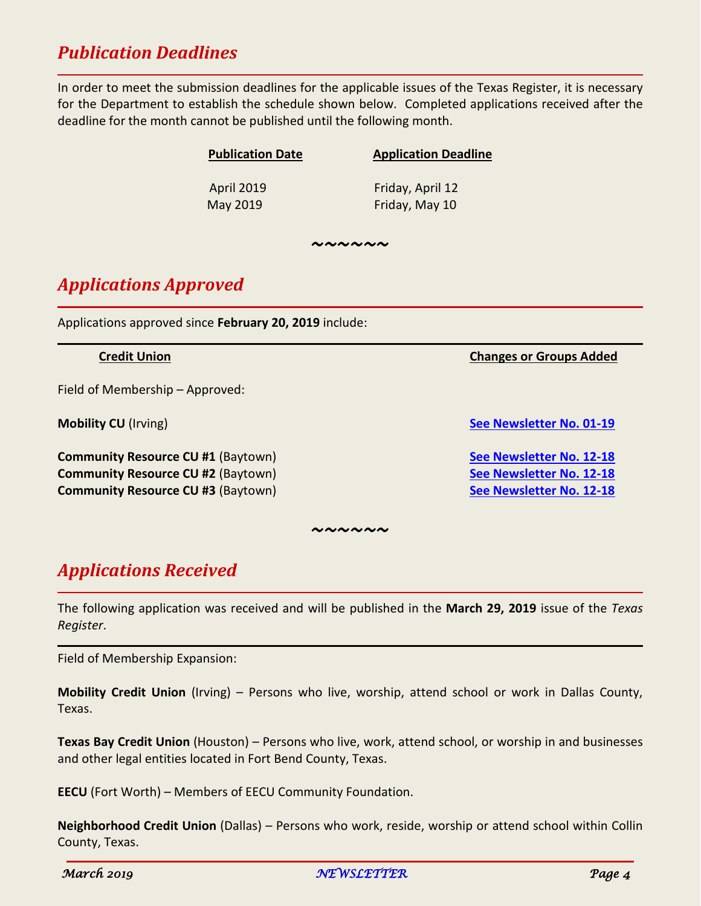### *Publication Deadlines*

In order to meet the submission deadlines for the applicable issues of the Texas Register, it is necessary for the Department to establish the schedule shown below. Completed applications received after the deadline for the month cannot be published until the following month.

| <b>Publication Date</b> | <b>Application Deadline</b> |
|-------------------------|-----------------------------|
| <b>April 2019</b>       | Friday, April 12            |
| May 2019                | Friday, May 10              |

*~~~~~~*

# *Applications Approved*

Applications approved since **February 20, 2019** include:

Field of Membership – Approved:

**Community Resource CU #1** (Baytown) **[See Newsletter No. 12-18](https://cud.texas.gov/wp-content/uploads/2015/11/December_2018.pdf) Community Resource CU #2** (Baytown) **[See Newsletter No. 12-18](https://cud.texas.gov/wp-content/uploads/2015/11/December_2018.pdf) Community Resource CU #3** (Baytown) **[See Newsletter No. 12-18](https://cud.texas.gov/wp-content/uploads/2015/11/December_2018.pdf)** 

*~~~~~~*

### *Applications Received*

The following application was received and will be published in the **March 29, 2019** issue of the *Texas Register*.

Field of Membership Expansion:

**Mobility Credit Union** (Irving) – Persons who live, worship, attend school or work in Dallas County, Texas.

**Texas Bay Credit Union** (Houston) – Persons who live, work, attend school, or worship in and businesses and other legal entities located in Fort Bend County, Texas.

**EECU** (Fort Worth) – Members of EECU Community Foundation.

**Neighborhood Credit Union** (Dallas) – Persons who work, reside, worship or attend school within Collin County, Texas.

**Credit Union Changes or Groups Added**

**Mobility CU** (Irving) **[See Newsletter No. 01-19](https://cud.texas.gov/wp-content/uploads/2015/11/January_2019.pdf)**